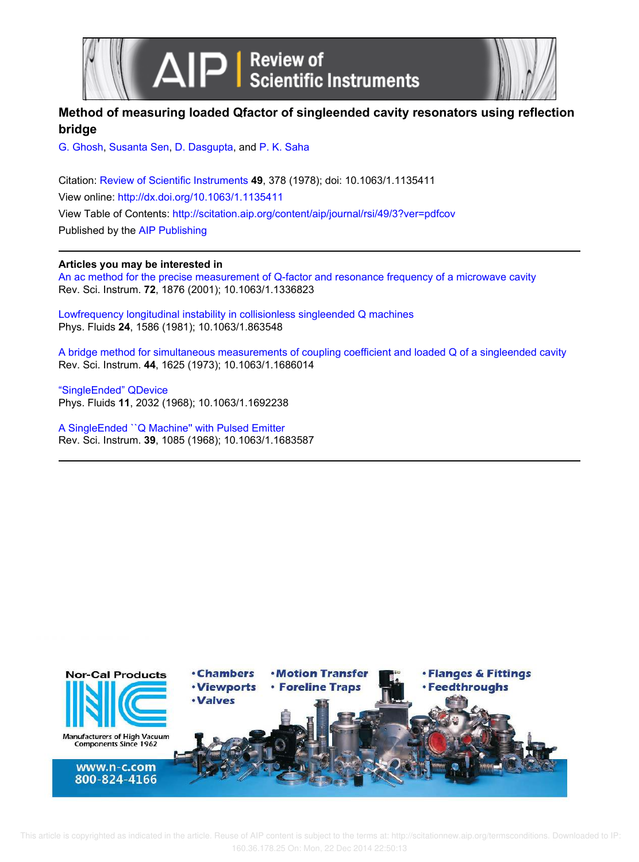

# **Method of measuring loaded Qfactor of singleended cavity resonators using reflection bridge**

G. Ghosh, Susanta Sen, D. Dasgupta, and P. K. Saha

Citation: Review of Scientific Instruments **49**, 378 (1978); doi: 10.1063/1.1135411 View online: http://dx.doi.org/10.1063/1.1135411 View Table of Contents: http://scitation.aip.org/content/aip/journal/rsi/49/3?ver=pdfcov Published by the AIP Publishing

# **Articles you may be interested in**

An ac method for the precise measurement of Q-factor and resonance frequency of a microwave cavity Rev. Sci. Instrum. **72**, 1876 (2001); 10.1063/1.1336823

Lowfrequency longitudinal instability in collisionless singleended Q machines Phys. Fluids **24**, 1586 (1981); 10.1063/1.863548

A bridge method for simultaneous measurements of coupling coefficient and loaded Q of a singleended cavity Rev. Sci. Instrum. **44**, 1625 (1973); 10.1063/1.1686014

"SingleEnded" QDevice Phys. Fluids **11**, 2032 (1968); 10.1063/1.1692238

A SingleEnded ``Q Machine'' with Pulsed Emitter Rev. Sci. Instrum. **39**, 1085 (1968); 10.1063/1.1683587

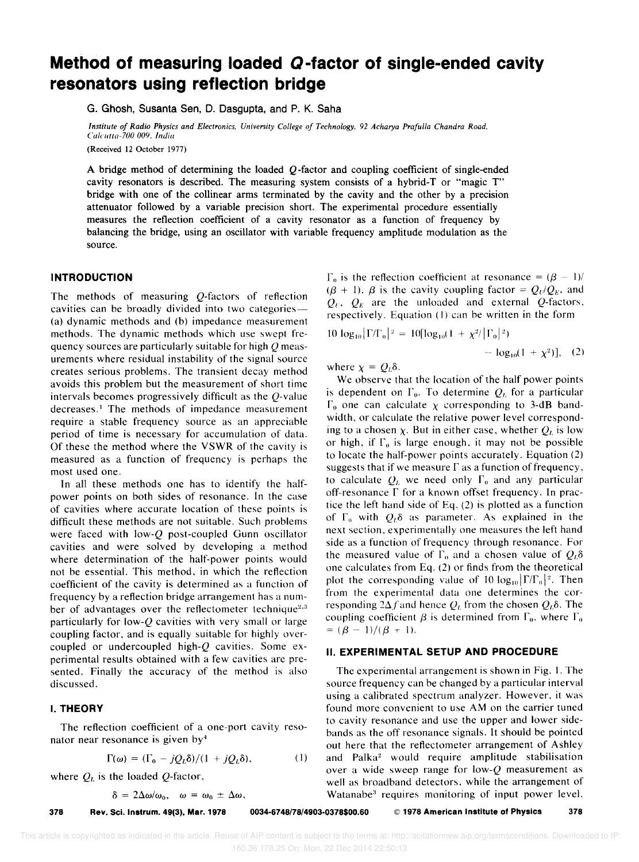# **Method of measuring loaded Q -factor of single-ended cavity resonators using reflection bridge**

G. Ghosh, Susanta Sen, D. Dasgupta, and P. K. Saha

*of Radio Physics and Electronics. University College of Technology.* 92 *Acharya Prafulla Chandra Road. (alel/lta-700 009. Indlll* 

(Received 12 October 1977)

A bridge method of determining the loaded *Q* -factor and coupling coefficient of single-ended cavity resonators is described. The measuring system consists of a hybrid-T or "magic T" bridge with one of the collinear arms terminated by the cavity and the other by a precision attenuator followed by a variable precision short. The experimental procedure essentially measures the reflection coefficient of a cavity resonator as a function of frequency by balancing the bridge, using an oscillator with variable frequency amplitude modulation as the source.

#### **INTRODUCTION**

The methods of measuring Q-factors of reflection cavities can be broadly divided into two categories-(a) dynamic methods and (b) impedance measurement methods. The dynamic methods which use swept frequency sources are particularly suitable for high  $Q$  measurements where residual instability of the signal source creates serious problems. The transient decay method avoids this problem but the measurement of short time intervals becomes progressively difficult as the Q-value decreases.<sup>1</sup> The methods of impedance measurement require a stable frequency source as an appreciable period of time is necessary for accumulation of data. Of these the method where the VSWR of the cavity is measured as a function of frequency is perhaps the most used one.

In all these methods one has to identify the halfpower points on both sides of resonance. In the case of cavities where accurate location of these points is difficult these methods are not suitable. Such problems were faced with low-Q post-coupled Gunn oscillator cavities and were solved by developing a method where determination of the half-power points would not be essential. This method, in which the reflection coefficient of the cavity is determined as a function of frequency by a reflection bridge arrangement has a number of advantages over the reflectometer technique<sup>2,3</sup> particularly for low-Q cavities with very small or large coupling factor, and is equally suitable for highly overcoupled or undercoupled high- $Q$  cavities. Some experimental results obtained with a few cavities are presented. Finally the accuracy of the method is also discussed.

# **I. THEORY**

The reflection coefficient of a one-port cavity resonator near resonance is given by4

$$
\Gamma(\omega) = (\Gamma_0 - jQ_L\delta)/(1 + jQ_L\delta), \qquad (1)
$$

where  $Q_L$  is the loaded Q-factor,

 $\delta = 2\Delta\omega/\omega_0$ ,  $\omega = \omega_0 \pm \Delta\omega$ ,

 $\Gamma_0$  is the reflection coefficient at resonance =  $({\beta} - 1)/$  $({\beta} + 1)$ .  ${\beta}$  is the cavity coupling factor =  $Q_U/Q_E$ , and  $Q_U$ ,  $Q_E$  are the unloaded and external Q-factors. respectively. Equation (I) can be written in the form

$$
10 \log_{10} |\Gamma/\Gamma_0|^2 = 10[\log_{10}(1 + \chi^2/|\Gamma_0|^2) - \log_{10}(1 + \chi^2)], \quad (2)
$$
  
where  $\chi = O_t \delta$ .

where  $\chi = Q_L \delta$ .

We observe that the location of the half power points is dependent on  $\Gamma_0$ . To determine  $Q_L$  for a particular  $\Gamma_0$  one can calculate  $\chi$  corresponding to 3-dB bandwidth, or calculate the relative power level corresponding to a chosen  $\chi$ . But in either case, whether  $Q_L$  is low or high, if  $\Gamma_0$  is large enough, it may not be possible to locate the half-power points accurately. Equation (2) suggests that if we measure  $\Gamma$  as a function of frequency, to calculate  $Q_L$  we need only  $\Gamma_0$  and any particular off-resonance  $\Gamma$  for a known offset frequency. In practice the left hand side of Eq. (2) is plotted as a function of  $\Gamma_0$  with  $Q_1\delta$  as parameter. As explained in the next section, experimentally one measures the left hand side as a function of frequency through resonance. For the measured value of  $\Gamma_0$  and a chosen value of  $Q_L\delta$ one calculates from Eq. (2) or finds from the theoretical plot the corresponding value of 10  $log_{10} |\Gamma/\Gamma_0|^2$ . Then from the experimental data one determines the corresponding  $2\Delta f$  and hence  $Q_L$  from the chosen  $Q_L\delta$ . The coupling coefficient  $\beta$  is determined from  $\Gamma_0$ , where  $\Gamma_0$  $=({\beta - 1})/({\beta + 1}).$ 

#### **II. EXPERIMENTAL SETUP AND PROCEDURE**

The experimental arrangement is shown in Fig. I. The source frequency can be changed by a particular interval using a calibrated spectrum analyzer. However. it was found more convenient to use AM on the carrier tuned to cavity resonance and use the upper and lower sidebands as the off resonance signals. It should be pointed out here that the reflectometer arrangement of Ashley and Palka2 would require amplitude stabilisation over a wide sweep range for low- $Q$  measurement as well as broadband detectors, while the arrangement of Watanabe<sup>3</sup> requires monitoring of input power level.

378 Rev. Sci. Instrum. 49(3), Mar. 1978 0034-6748/78/4903-0378\$00.60 © 1978 American Institute of Physics 378